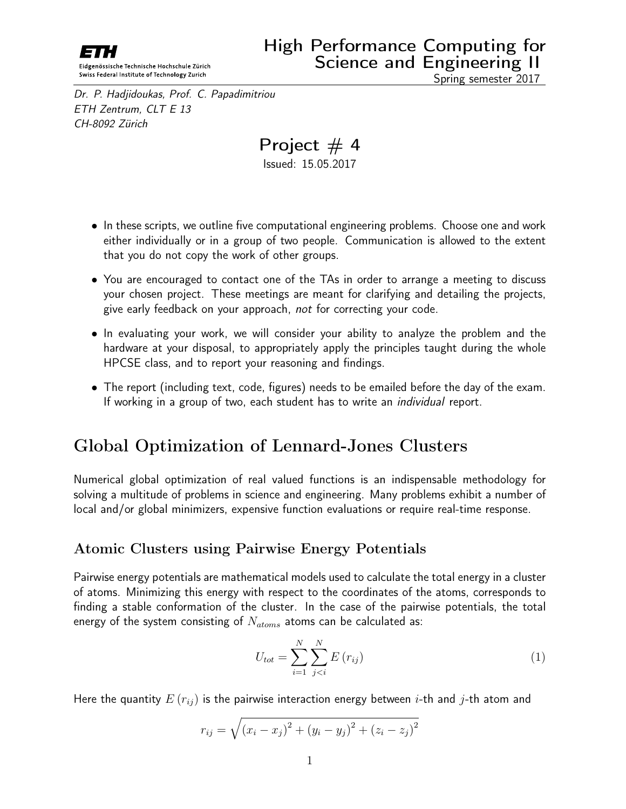<span id="page-0-0"></span>Dr. P. Hadjidoukas, Prof. C. Papadimitriou ETH Zentrum, CLT E 13 CH-8092 Zürich

Spring semester 2017

Project  $# 4$ Issued: 15.05.2017

- In these scripts, we outline five computational engineering problems. Choose one and work either individually or in a group of two people. Communication is allowed to the extent that you do not copy the work of other groups.
- You are encouraged to contact one of the TAs in order to arrange a meeting to discuss your chosen project. These meetings are meant for clarifying and detailing the projects, give early feedback on your approach, not for correcting your code.
- In evaluating your work, we will consider your ability to analyze the problem and the hardware at your disposal, to appropriately apply the principles taught during the whole HPCSE class, and to report your reasoning and findings.
- The report (including text, code, figures) needs to be emailed before the day of the exam. If working in a group of two, each student has to write an *individual* report.

## Global Optimization of Lennard-Jones Clusters

Numerical global optimization of real valued functions is an indispensable methodology for solving a multitude of problems in science and engineering. Many problems exhibit a number of local and/or global minimizers, expensive function evaluations or require real-time response.

#### Atomic Clusters using Pairwise Energy Potentials

Pairwise energy potentials are mathematical models used to calculate the total energy in a cluster of atoms. Minimizing this energy with respect to the coordinates of the atoms, corresponds to finding a stable conformation of the cluster. In the case of the pairwise potentials, the total energy of the system consisting of  $N_{atoms}$  atoms can be calculated as:

$$
U_{tot} = \sum_{i=1}^{N} \sum_{j (1)
$$

Here the quantity  $E(r_{ij})$  is the pairwise interaction energy between *i*-th and *j*-th atom and

$$
r_{ij} = \sqrt{(x_i - x_j)^2 + (y_i - y_j)^2 + (z_i - z_j)^2}
$$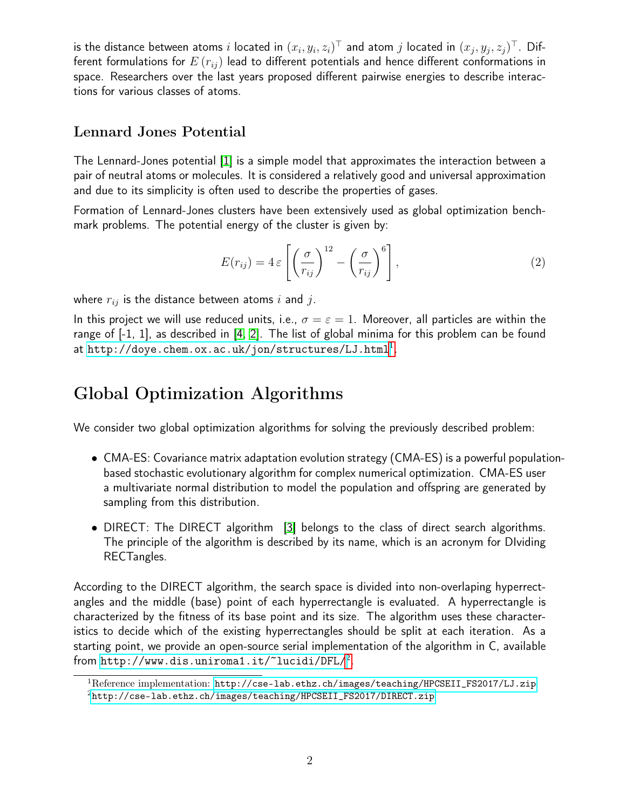is the distance between atoms  $i$  located in  $(x_i,y_i,z_i)^{\top}$  and atom  $j$  located in  $(x_j,y_j,z_j)^{\top}$ . Different formulations for  $E(r_{ij})$  lead to different potentials and hence different conformations in space. Researchers over the last years proposed different pairwise energies to describe interactions for various classes of atoms.

#### Lennard Jones Potential

The Lennard-Jones potential [\[1\]](#page-2-0) is a simple model that approximates the interaction between a pair of neutral atoms or molecules. It is considered a relatively good and universal approximation and due to its simplicity is often used to describe the properties of gases.

Formation of Lennard-Jones clusters have been extensively used as global optimization benchmark problems. The potential energy of the cluster is given by:

$$
E(r_{ij}) = 4 \varepsilon \left[ \left( \frac{\sigma}{r_{ij}} \right)^{12} - \left( \frac{\sigma}{r_{ij}} \right)^{6} \right],
$$
 (2)

where  $r_{ij}$  is the distance between atoms i and j.

In this project we will use reduced units, i.e.,  $\sigma = \varepsilon = 1$ . Moreover, all particles are within the range of [-1, 1], as described in [\[4,](#page-2-1) [2\]](#page-2-2). The list of global minima for this problem can be found at  ${\tt http://doye.chem.ox.ac.uk/jon/structures/LJ.html^1}.$  ${\tt http://doye.chem.ox.ac.uk/jon/structures/LJ.html^1}.$  ${\tt http://doye.chem.ox.ac.uk/jon/structures/LJ.html^1}.$  ${\tt http://doye.chem.ox.ac.uk/jon/structures/LJ.html^1}.$  ${\tt http://doye.chem.ox.ac.uk/jon/structures/LJ.html^1}.$ 

#### Global Optimization Algorithms

We consider two global optimization algorithms for solving the previously described problem:

- CMA-ES: Covariance matrix adaptation evolution strategy (CMA-ES) is a powerful populationbased stochastic evolutionary algorithm for complex numerical optimization. CMA-ES user a multivariate normal distribution to model the population and offspring are generated by sampling from this distribution.
- DIRECT: The DIRECT algorithm [\[3\]](#page-2-3) belongs to the class of direct search algorithms. The principle of the algorithm is described by its name, which is an acronym for DIviding RECTangles.

According to the DIRECT algorithm, the search space is divided into non-overlaping hyperrectangles and the middle (base) point of each hyperrectangle is evaluated. A hyperrectangle is characterized by the fitness of its base point and its size. The algorithm uses these characteristics to decide which of the existing hyperrectangles should be split at each iteration. As a starting point, we provide an open-source serial implementation of the algorithm in C, available from  ${\tt http://www.dis.uniroma1.it/~lucidi/DFL/².}$  ${\tt http://www.dis.uniroma1.it/~lucidi/DFL/².}$  ${\tt http://www.dis.uniroma1.it/~lucidi/DFL/².}$ 

 $1$ Reference implementation: [http://cse-lab.ethz.ch/images/teaching/HPCSEII\\_FS2017/LJ.zip](http://cse-lab.ethz.ch/images/teaching/HPCSEII_FS2017/LJ.zip) <sup>2</sup>[http://cse-lab.ethz.ch/images/teaching/HPCSEII\\_FS2017/DIRECT.zip](http://cse-lab.ethz.ch/images/teaching/HPCSEII_FS2017/DIRECT.zip)